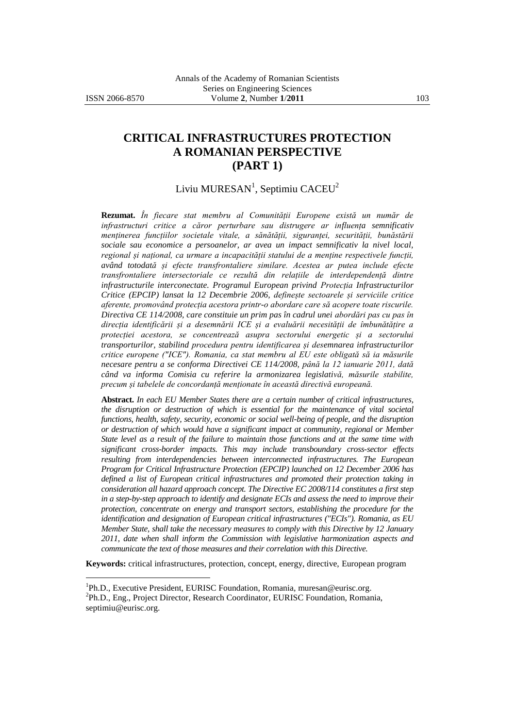# **CRITICAL INFRASTRUCTURES PROTECTION A ROMANIAN PERSPECTIVE (PART 1)**

## Liviu MURESAN $^1$ , Septimiu CACEU $^2$

**Rezumat.** *În fiecare stat membru al Comunității Europene există un număr de infrastructuri critice a căror perturbare sau distrugere ar influența semnificativ menținerea funcțiilor societale vitale, a sănătății, siguranței, securității, bunăstării sociale sau economice a persoanelor, ar avea un impact semnificativ la nivel local, regional și național, ca urmare a incapacității statului de a menține respectivele funcții, având totodată și efecte transfrontaliere similare. Acestea ar putea include efecte transfrontaliere intersectoriale ce rezultă din relațiile de interdependență dintre infrastructurile interconectate. Programul European privind Protecția Infrastructurilor Critice (EPCIP) lansat la 12 Decembrie 2006, definește sectoarele și serviciile critice aferente, promovând protecția acestora printr-o abordare care să acopere toate riscurile. Directiva CE 114/2008, care constituie un prim pas în cadrul unei abordări pas cu pas în direcția identificării și a desemnării ICE și a evaluării necesității de îmbunătățire a protecției acestora, se concentrează asupra sectorului energetic și a sectorului transporturilor, stabilind procedura pentru identificarea și desemnarea infrastructurilor critice europene ("ICE"). Romania, ca stat membru al EU este obligată să ia măsurile necesare pentru a se conforma Directivei CE 114/2008, până la 12 ianuarie 2011, dată când va informa Comisia cu referire la armonizarea legislativă, măsurile stabilite, precum și tabelele de concordanță menționate în această directivă europeană.*

**Abstract.** *In each EU Member States there are a certain number of critical infrastructures, the disruption or destruction of which is essential for the maintenance of vital societal functions, health, safety, security, economic or social well-being of people, and the disruption or destruction of which would have a significant impact at community, regional or Member State level as a result of the failure to maintain those functions and at the same time with significant cross-border impacts. This may include transboundary cross-sector effects resulting from interdependencies between interconnected infrastructures. The European Program for Critical Infrastructure Protection (EPCIP) launched on 12 December 2006 has defined a list of European critical infrastructures and promoted their protection taking in consideration all hazard approach concept. The Directive EC 2008/114 constitutes a first step in a step-by-step approach to identify and designate ECIs and assess the need to improve their protection, concentrate on energy and transport sectors, establishing the procedure for the identification and designation of European critical infrastructures ("ECIs"). Romania, as EU Member State, shall take the necessary measures to comply with this Directive by 12 January 2011, date when shall inform the Commission with legislative harmonization aspects and communicate the text of those measures and their correlation with this Directive.*

**Keywords:** critical infrastructures, protection, concept, energy, directive, European program

<sup>1&</sup>lt;br><sup>1</sup> Ph.D., Executive President, EURISC Foundation, Romania[, muresan@eurisc.org.](mailto:muresan@eurisc.org)

<sup>&</sup>lt;sup>2</sup>Ph.D., Eng., Project Director, Research Coordinator, EURISC Foundation, Romania, [septimiu@eurisc.org.](mailto:septimiu@eurisc.org)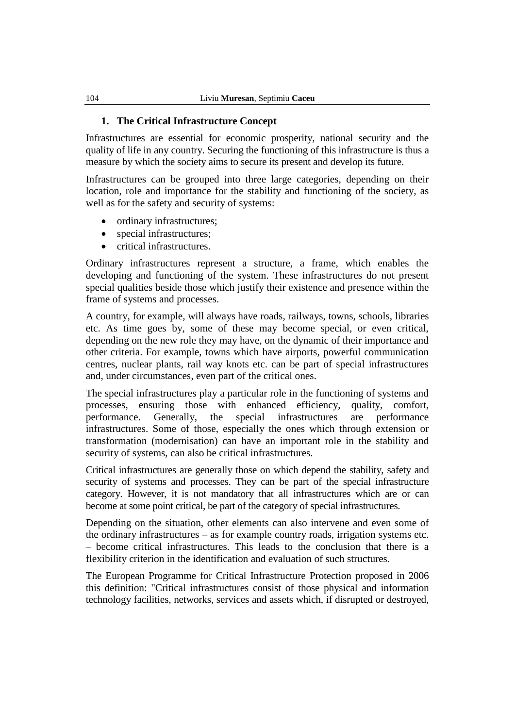#### **1. The Critical Infrastructure Concept**

Infrastructures are essential for economic prosperity, national security and the quality of life in any country. Securing the functioning of this infrastructure is thus a measure by which the society aims to secure its present and develop its future.

Infrastructures can be grouped into three large categories, depending on their location, role and importance for the stability and functioning of the society, as well as for the safety and security of systems:

- ordinary infrastructures;
- special infrastructures;
- critical infrastructures.

Ordinary infrastructures represent a structure, a frame, which enables the developing and functioning of the system. These infrastructures do not present special qualities beside those which justify their existence and presence within the frame of systems and processes.

A country, for example, will always have roads, railways, towns, schools, libraries etc. As time goes by, some of these may become special, or even critical, depending on the new role they may have, on the dynamic of their importance and other criteria. For example, towns which have airports, powerful communication centres, nuclear plants, rail way knots etc. can be part of special infrastructures and, under circumstances, even part of the critical ones.

The special infrastructures play a particular role in the functioning of systems and processes, ensuring those with enhanced efficiency, quality, comfort, performance. Generally, the special infrastructures are performance infrastructures. Some of those, especially the ones which through extension or transformation (modernisation) can have an important role in the stability and security of systems, can also be critical infrastructures.

Critical infrastructures are generally those on which depend the stability, safety and security of systems and processes. They can be part of the special infrastructure category. However, it is not mandatory that all infrastructures which are or can become at some point critical, be part of the category of special infrastructures.

Depending on the situation, other elements can also intervene and even some of the ordinary infrastructures – as for example country roads, irrigation systems etc. – become critical infrastructures. This leads to the conclusion that there is a flexibility criterion in the identification and evaluation of such structures.

The European Programme for Critical Infrastructure Protection proposed in 2006 this definition: "Critical infrastructures consist of those physical and information technology facilities, networks, services and assets which, if disrupted or destroyed,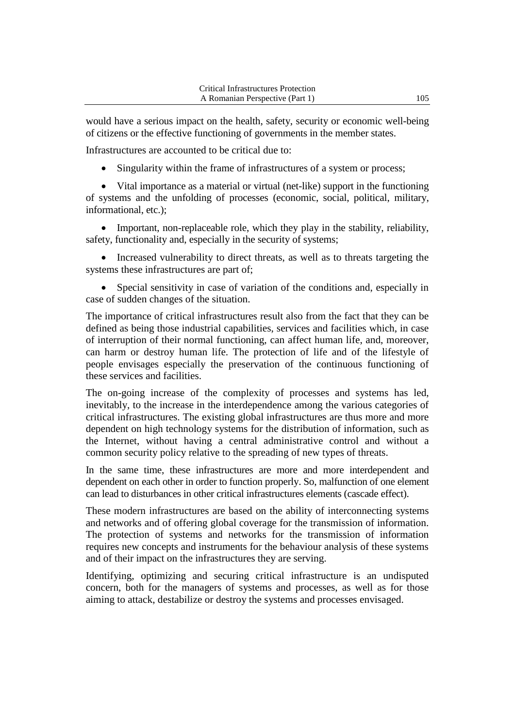would have a serious impact on the health, safety, security or economic well-being of citizens or the effective functioning of governments in the member states.

Infrastructures are accounted to be critical due to:

Singularity within the frame of infrastructures of a system or process;

 Vital importance as a material or virtual (net-like) support in the functioning of systems and the unfolding of processes (economic, social, political, military, informational, etc.);

 Important, non-replaceable role, which they play in the stability, reliability, safety, functionality and, especially in the security of systems;

• Increased vulnerability to direct threats, as well as to threats targeting the systems these infrastructures are part of;

 Special sensitivity in case of variation of the conditions and, especially in case of sudden changes of the situation.

The importance of critical infrastructures result also from the fact that they can be defined as being those industrial capabilities, services and facilities which, in case of interruption of their normal functioning, can affect human life, and, moreover, can harm or destroy human life. The protection of life and of the lifestyle of people envisages especially the preservation of the continuous functioning of these services and facilities.

The on-going increase of the complexity of processes and systems has led, inevitably, to the increase in the interdependence among the various categories of critical infrastructures. The existing global infrastructures are thus more and more dependent on high technology systems for the distribution of information, such as the Internet, without having a central administrative control and without a common security policy relative to the spreading of new types of threats.

In the same time, these infrastructures are more and more interdependent and dependent on each other in order to function properly. So, malfunction of one element can lead to disturbances in other critical infrastructures elements (cascade effect).

These modern infrastructures are based on the ability of interconnecting systems and networks and of offering global coverage for the transmission of information. The protection of systems and networks for the transmission of information requires new concepts and instruments for the behaviour analysis of these systems and of their impact on the infrastructures they are serving.

Identifying, optimizing and securing critical infrastructure is an undisputed concern, both for the managers of systems and processes, as well as for those aiming to attack, destabilize or destroy the systems and processes envisaged.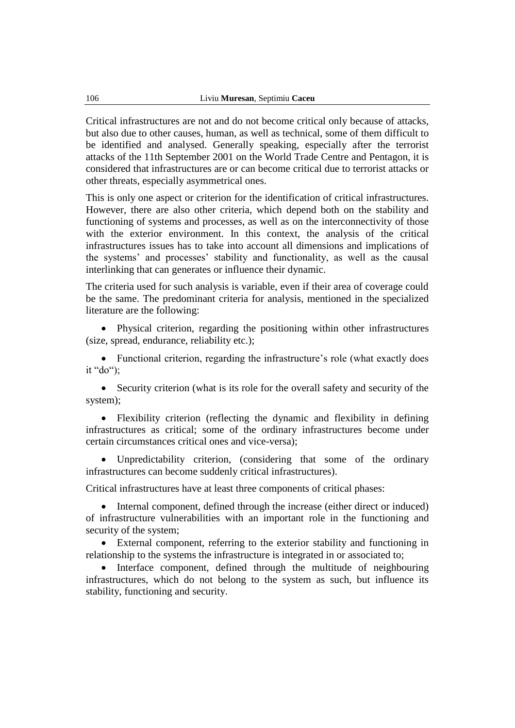Critical infrastructures are not and do not become critical only because of attacks, but also due to other causes, human, as well as technical, some of them difficult to be identified and analysed. Generally speaking, especially after the terrorist attacks of the 11th September 2001 on the World Trade Centre and Pentagon, it is considered that infrastructures are or can become critical due to terrorist attacks or other threats, especially asymmetrical ones.

This is only one aspect or criterion for the identification of critical infrastructures. However, there are also other criteria, which depend both on the stability and functioning of systems and processes, as well as on the interconnectivity of those with the exterior environment. In this context, the analysis of the critical infrastructures issues has to take into account all dimensions and implications of the systems' and processes' stability and functionality, as well as the causal interlinking that can generates or influence their dynamic.

The criteria used for such analysis is variable, even if their area of coverage could be the same. The predominant criteria for analysis, mentioned in the specialized literature are the following:

 Physical criterion, regarding the positioning within other infrastructures (size, spread, endurance, reliability etc.);

• Functional criterion, regarding the infrastructure's role (what exactly does it "do");

• Security criterion (what is its role for the overall safety and security of the system);

 Flexibility criterion (reflecting the dynamic and flexibility in defining infrastructures as critical; some of the ordinary infrastructures become under certain circumstances critical ones and vice-versa);

 Unpredictability criterion, (considering that some of the ordinary infrastructures can become suddenly critical infrastructures).

Critical infrastructures have at least three components of critical phases:

• Internal component, defined through the increase (either direct or induced) of infrastructure vulnerabilities with an important role in the functioning and security of the system;

 External component, referring to the exterior stability and functioning in relationship to the systems the infrastructure is integrated in or associated to;

• Interface component, defined through the multitude of neighbouring infrastructures, which do not belong to the system as such, but influence its stability, functioning and security.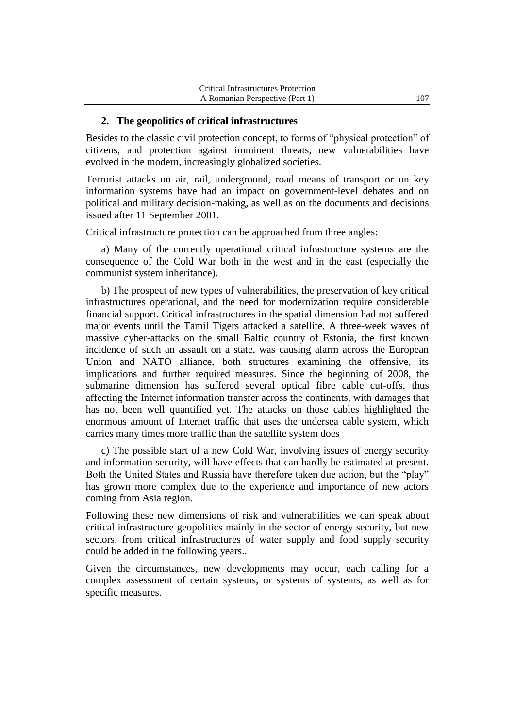#### **2. The geopolitics of critical infrastructures**

Besides to the classic civil protection concept, to forms of "physical protection" of citizens, and protection against imminent threats, new vulnerabilities have evolved in the modern, increasingly globalized societies.

Terrorist attacks on air, rail, underground, road means of transport or on key information systems have had an impact on government-level debates and on political and military decision-making, as well as on the documents and decisions issued after 11 September 2001.

Critical infrastructure protection can be approached from three angles:

a) Many of the currently operational critical infrastructure systems are the consequence of the Cold War both in the west and in the east (especially the communist system inheritance).

b) The prospect of new types of vulnerabilities, the preservation of key critical infrastructures operational, and the need for modernization require considerable financial support. Critical infrastructures in the spatial dimension had not suffered major events until the Tamil Tigers attacked a satellite. A three-week waves of massive cyber-attacks on the small Baltic country of Estonia, the first known incidence of such an assault on a state, was causing alarm across the European Union and NATO alliance, both structures examining the offensive, its implications and further required measures. Since the beginning of 2008, the submarine dimension has suffered several optical fibre cable cut-offs, thus affecting the Internet information transfer across the continents, with damages that has not been well quantified yet. The attacks on those cables highlighted the enormous amount of Internet traffic that uses the undersea cable system, which carries many times more traffic than the satellite system does

c) The possible start of a new Cold War, involving issues of energy security and information security, will have effects that can hardly be estimated at present. Both the United States and Russia have therefore taken due action, but the "play" has grown more complex due to the experience and importance of new actors coming from Asia region.

Following these new dimensions of risk and vulnerabilities we can speak about critical infrastructure geopolitics mainly in the sector of energy security, but new sectors, from critical infrastructures of water supply and food supply security could be added in the following years..

Given the circumstances, new developments may occur, each calling for a complex assessment of certain systems, or systems of systems, as well as for specific measures.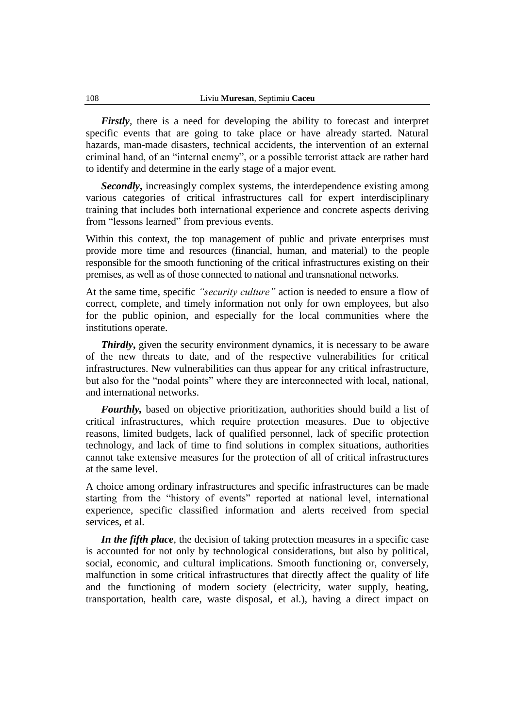*Firstly,* there is a need for developing the ability to forecast and interpret specific events that are going to take place or have already started. Natural hazards, man-made disasters, technical accidents, the intervention of an external criminal hand, of an "internal enemy", or a possible terrorist attack are rather hard to identify and determine in the early stage of a major event.

*Secondly***,** increasingly complex systems, the interdependence existing among various categories of critical infrastructures call for expert interdisciplinary training that includes both international experience and concrete aspects deriving from "lessons learned" from previous events.

Within this context, the top management of public and private enterprises must provide more time and resources (financial, human, and material) to the people responsible for the smooth functioning of the critical infrastructures existing on their premises, as well as of those connected to national and transnational networks.

At the same time, specific *"security culture"* action is needed to ensure a flow of correct, complete, and timely information not only for own employees, but also for the public opinion, and especially for the local communities where the institutions operate.

*Thirdly*, given the security environment dynamics, it is necessary to be aware of the new threats to date, and of the respective vulnerabilities for critical infrastructures. New vulnerabilities can thus appear for any critical infrastructure, but also for the "nodal points" where they are interconnected with local, national, and international networks.

*Fourthly,* based on objective prioritization, authorities should build a list of critical infrastructures, which require protection measures. Due to objective reasons, limited budgets, lack of qualified personnel, lack of specific protection technology, and lack of time to find solutions in complex situations, authorities cannot take extensive measures for the protection of all of critical infrastructures at the same level.

A choice among ordinary infrastructures and specific infrastructures can be made starting from the "history of events" reported at national level, international experience, specific classified information and alerts received from special services, et al.

*In the fifth place*, the decision of taking protection measures in a specific case is accounted for not only by technological considerations, but also by political, social, economic, and cultural implications. Smooth functioning or, conversely, malfunction in some critical infrastructures that directly affect the quality of life and the functioning of modern society (electricity, water supply, heating, transportation, health care, waste disposal, et al.), having a direct impact on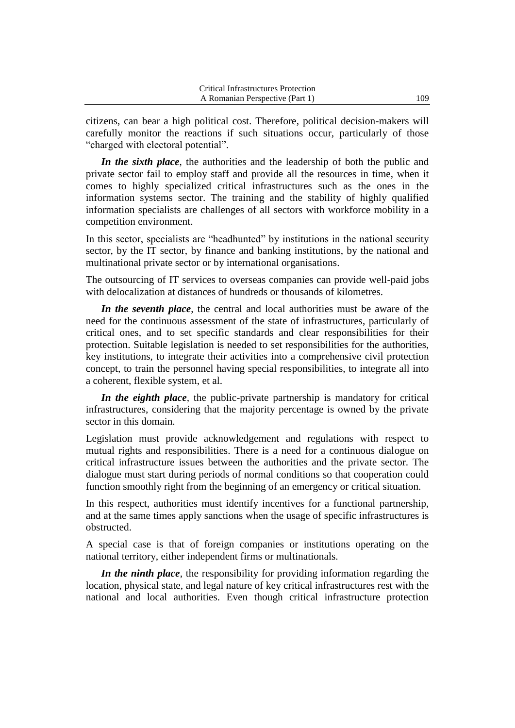| <b>Critical Infrastructures Protection</b> |     |
|--------------------------------------------|-----|
| A Romanian Perspective (Part 1)            | 109 |
|                                            |     |

citizens, can bear a high political cost. Therefore, political decision-makers will carefully monitor the reactions if such situations occur, particularly of those "charged with electoral potential".

*In the sixth place*, the authorities and the leadership of both the public and private sector fail to employ staff and provide all the resources in time, when it comes to highly specialized critical infrastructures such as the ones in the information systems sector. The training and the stability of highly qualified information specialists are challenges of all sectors with workforce mobility in a competition environment.

In this sector, specialists are "headhunted" by institutions in the national security sector, by the IT sector, by finance and banking institutions, by the national and multinational private sector or by international organisations.

The outsourcing of IT services to overseas companies can provide well-paid jobs with delocalization at distances of hundreds or thousands of kilometres.

*In the seventh place*, the central and local authorities must be aware of the need for the continuous assessment of the state of infrastructures, particularly of critical ones, and to set specific standards and clear responsibilities for their protection. Suitable legislation is needed to set responsibilities for the authorities, key institutions, to integrate their activities into a comprehensive civil protection concept, to train the personnel having special responsibilities, to integrate all into a coherent, flexible system, et al.

*In the eighth place,* the public-private partnership is mandatory for critical infrastructures, considering that the majority percentage is owned by the private sector in this domain.

Legislation must provide acknowledgement and regulations with respect to mutual rights and responsibilities. There is a need for a continuous dialogue on critical infrastructure issues between the authorities and the private sector. The dialogue must start during periods of normal conditions so that cooperation could function smoothly right from the beginning of an emergency or critical situation.

In this respect, authorities must identify incentives for a functional partnership, and at the same times apply sanctions when the usage of specific infrastructures is obstructed.

A special case is that of foreign companies or institutions operating on the national territory, either independent firms or multinationals.

*In the ninth place*, the responsibility for providing information regarding the location, physical state, and legal nature of key critical infrastructures rest with the national and local authorities. Even though critical infrastructure protection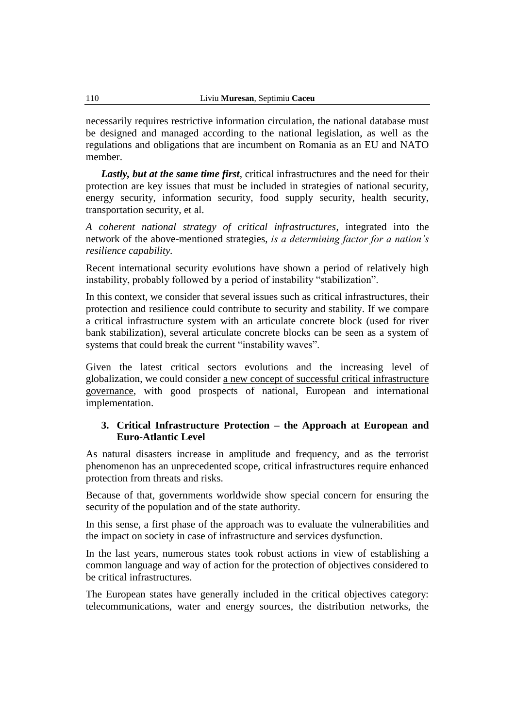necessarily requires restrictive information circulation, the national database must be designed and managed according to the national legislation, as well as the regulations and obligations that are incumbent on Romania as an EU and NATO member.

*Lastly, but at the same time first*, critical infrastructures and the need for their protection are key issues that must be included in strategies of national security, energy security, information security, food supply security, health security, transportation security, et al.

*A coherent national strategy of critical infrastructures*, integrated into the network of the above-mentioned strategies, *is a determining factor for a nation's resilience capability.*

Recent international security evolutions have shown a period of relatively high instability, probably followed by a period of instability "stabilization".

In this context, we consider that several issues such as critical infrastructures, their protection and resilience could contribute to security and stability. If we compare a critical infrastructure system with an articulate concrete block (used for river bank stabilization), several articulate concrete blocks can be seen as a system of systems that could break the current "instability waves".

Given the latest critical sectors evolutions and the increasing level of globalization, we could consider a new concept of successful critical infrastructure governance, with good prospects of national, European and international implementation.

### **3. Critical Infrastructure Protection – the Approach at European and Euro-Atlantic Level**

As natural disasters increase in amplitude and frequency, and as the terrorist phenomenon has an unprecedented scope, critical infrastructures require enhanced protection from threats and risks.

Because of that, governments worldwide show special concern for ensuring the security of the population and of the state authority.

In this sense, a first phase of the approach was to evaluate the vulnerabilities and the impact on society in case of infrastructure and services dysfunction.

In the last years, numerous states took robust actions in view of establishing a common language and way of action for the protection of objectives considered to be critical infrastructures.

The European states have generally included in the critical objectives category: telecommunications, water and energy sources, the distribution networks, the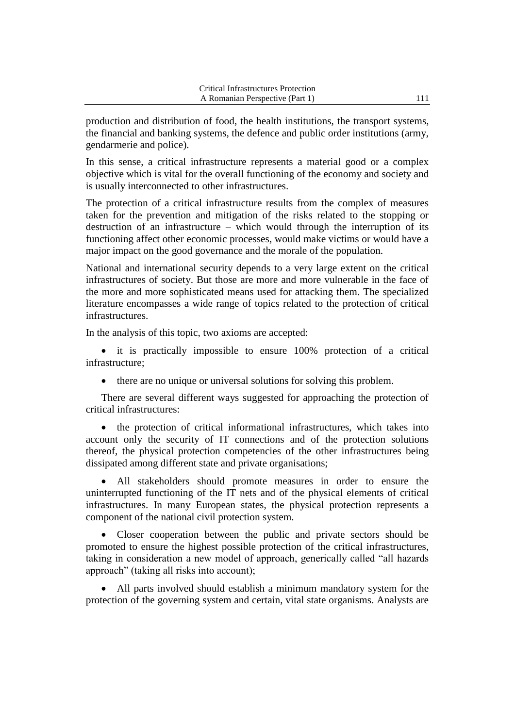production and distribution of food, the health institutions, the transport systems, the financial and banking systems, the defence and public order institutions (army, gendarmerie and police).

In this sense, a critical infrastructure represents a material good or a complex objective which is vital for the overall functioning of the economy and society and is usually interconnected to other infrastructures.

The protection of a critical infrastructure results from the complex of measures taken for the prevention and mitigation of the risks related to the stopping or destruction of an infrastructure – which would through the interruption of its functioning affect other economic processes, would make victims or would have a major impact on the good governance and the morale of the population.

National and international security depends to a very large extent on the critical infrastructures of society. But those are more and more vulnerable in the face of the more and more sophisticated means used for attacking them. The specialized literature encompasses a wide range of topics related to the protection of critical infrastructures.

In the analysis of this topic, two axioms are accepted:

 it is practically impossible to ensure 100% protection of a critical infrastructure;

there are no unique or universal solutions for solving this problem.

There are several different ways suggested for approaching the protection of critical infrastructures:

 the protection of critical informational infrastructures, which takes into account only the security of IT connections and of the protection solutions thereof, the physical protection competencies of the other infrastructures being dissipated among different state and private organisations;

 All stakeholders should promote measures in order to ensure the uninterrupted functioning of the IT nets and of the physical elements of critical infrastructures. In many European states, the physical protection represents a component of the national civil protection system.

 Closer cooperation between the public and private sectors should be promoted to ensure the highest possible protection of the critical infrastructures, taking in consideration a new model of approach, generically called "all hazards approach" (taking all risks into account);

 All parts involved should establish a minimum mandatory system for the protection of the governing system and certain, vital state organisms. Analysts are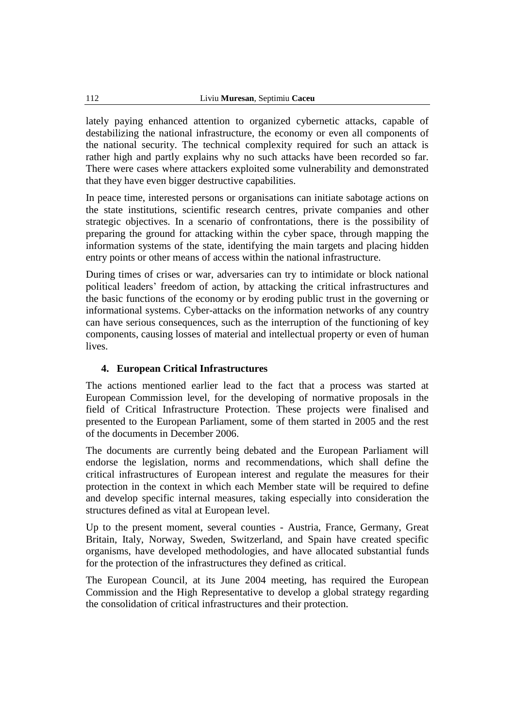lately paying enhanced attention to organized cybernetic attacks, capable of destabilizing the national infrastructure, the economy or even all components of the national security. The technical complexity required for such an attack is rather high and partly explains why no such attacks have been recorded so far. There were cases where attackers exploited some vulnerability and demonstrated that they have even bigger destructive capabilities.

In peace time, interested persons or organisations can initiate sabotage actions on the state institutions, scientific research centres, private companies and other strategic objectives. In a scenario of confrontations, there is the possibility of preparing the ground for attacking within the cyber space, through mapping the information systems of the state, identifying the main targets and placing hidden entry points or other means of access within the national infrastructure.

During times of crises or war, adversaries can try to intimidate or block national political leaders' freedom of action, by attacking the critical infrastructures and the basic functions of the economy or by eroding public trust in the governing or informational systems. Cyber-attacks on the information networks of any country can have serious consequences, such as the interruption of the functioning of key components, causing losses of material and intellectual property or even of human lives.

### **4. European Critical Infrastructures**

The actions mentioned earlier lead to the fact that a process was started at European Commission level, for the developing of normative proposals in the field of Critical Infrastructure Protection. These projects were finalised and presented to the European Parliament, some of them started in 2005 and the rest of the documents in December 2006.

The documents are currently being debated and the European Parliament will endorse the legislation, norms and recommendations, which shall define the critical infrastructures of European interest and regulate the measures for their protection in the context in which each Member state will be required to define and develop specific internal measures, taking especially into consideration the structures defined as vital at European level.

Up to the present moment, several counties - Austria, France, Germany, Great Britain, Italy, Norway, Sweden, Switzerland, and Spain have created specific organisms, have developed methodologies, and have allocated substantial funds for the protection of the infrastructures they defined as critical.

The European Council, at its June 2004 meeting, has required the European Commission and the High Representative to develop a global strategy regarding the consolidation of critical infrastructures and their protection.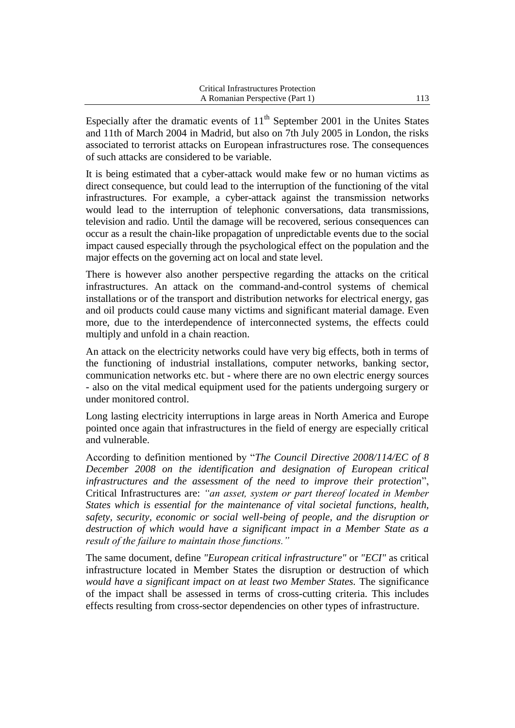Especially after the dramatic events of  $11<sup>th</sup>$  September 2001 in the Unites States and 11th of March 2004 in Madrid, but also on 7th July 2005 in London, the risks associated to terrorist attacks on European infrastructures rose. The consequences of such attacks are considered to be variable.

It is being estimated that a cyber-attack would make few or no human victims as direct consequence, but could lead to the interruption of the functioning of the vital infrastructures. For example, a cyber-attack against the transmission networks would lead to the interruption of telephonic conversations, data transmissions, television and radio. Until the damage will be recovered, serious consequences can occur as a result the chain-like propagation of unpredictable events due to the social impact caused especially through the psychological effect on the population and the major effects on the governing act on local and state level.

There is however also another perspective regarding the attacks on the critical infrastructures. An attack on the command-and-control systems of chemical installations or of the transport and distribution networks for electrical energy, gas and oil products could cause many victims and significant material damage. Even more, due to the interdependence of interconnected systems, the effects could multiply and unfold in a chain reaction.

An attack on the electricity networks could have very big effects, both in terms of the functioning of industrial installations, computer networks, banking sector, communication networks etc. but - where there are no own electric energy sources - also on the vital medical equipment used for the patients undergoing surgery or under monitored control.

Long lasting electricity interruptions in large areas in North America and Europe pointed once again that infrastructures in the field of energy are especially critical and vulnerable.

According to definition mentioned by "*The Council Directive 2008/114/EC of 8 December 2008 on the identification and designation of European critical infrastructures and the assessment of the need to improve their protection*", Critical Infrastructures are: *"an asset, system or part thereof located in Member States which is essential for the maintenance of vital societal functions, health, safety, security, economic or social well-being of people, and the disruption or destruction of which would have a significant impact in a Member State as a result of the failure to maintain those functions."*

The same document, define *"European critical infrastructure"* or *"ECI"* as critical infrastructure located in Member States the disruption or destruction of which *would have a significant impact on at least two Member States.* The significance of the impact shall be assessed in terms of cross-cutting criteria. This includes effects resulting from cross-sector dependencies on other types of infrastructure.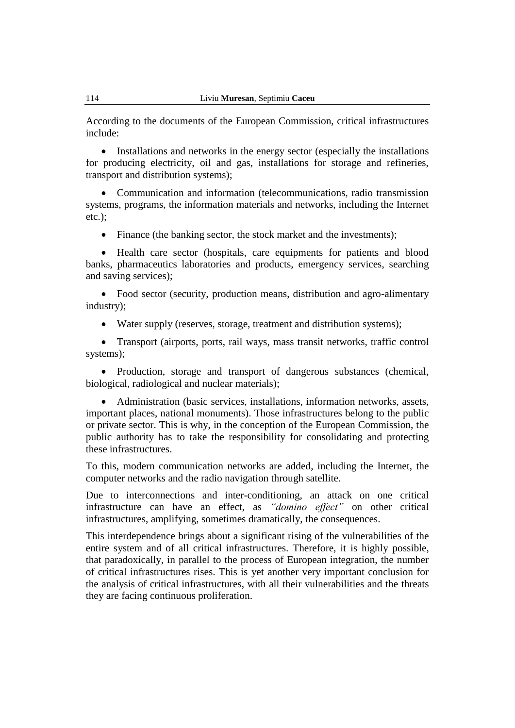According to the documents of the European Commission, critical infrastructures include:

• Installations and networks in the energy sector (especially the installations for producing electricity, oil and gas, installations for storage and refineries, transport and distribution systems);

 Communication and information (telecommunications, radio transmission systems, programs, the information materials and networks, including the Internet etc.);

• Finance (the banking sector, the stock market and the investments);

 Health care sector (hospitals, care equipments for patients and blood banks, pharmaceutics laboratories and products, emergency services, searching and saving services);

 Food sector (security, production means, distribution and agro-alimentary industry);

Water supply (reserves, storage, treatment and distribution systems);

 Transport (airports, ports, rail ways, mass transit networks, traffic control systems);

• Production, storage and transport of dangerous substances (chemical, biological, radiological and nuclear materials);

 Administration (basic services, installations, information networks, assets, important places, national monuments). Those infrastructures belong to the public or private sector. This is why, in the conception of the European Commission, the public authority has to take the responsibility for consolidating and protecting these infrastructures.

To this, modern communication networks are added, including the Internet, the computer networks and the radio navigation through satellite.

Due to interconnections and inter-conditioning, an attack on one critical infrastructure can have an effect, as *"domino effect"* on other critical infrastructures, amplifying, sometimes dramatically, the consequences.

This interdependence brings about a significant rising of the vulnerabilities of the entire system and of all critical infrastructures. Therefore, it is highly possible, that paradoxically, in parallel to the process of European integration, the number of critical infrastructures rises. This is yet another very important conclusion for the analysis of critical infrastructures, with all their vulnerabilities and the threats they are facing continuous proliferation.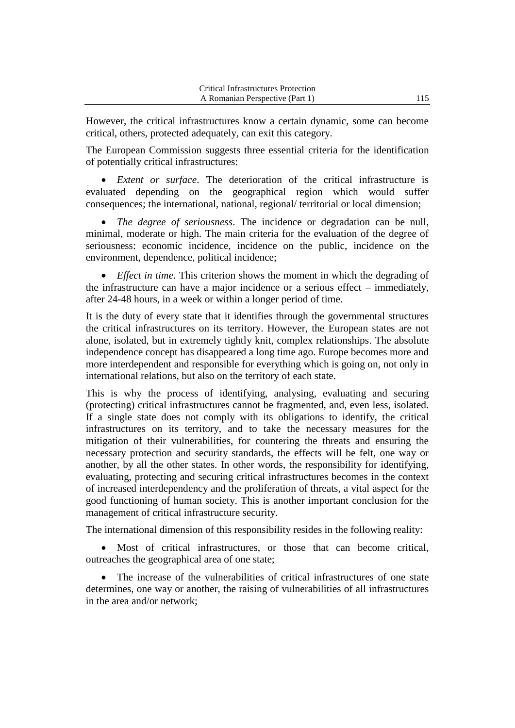However, the critical infrastructures know a certain dynamic, some can become critical, others, protected adequately, can exit this category.

The European Commission suggests three essential criteria for the identification of potentially critical infrastructures:

 *Extent or surface*. The deterioration of the critical infrastructure is evaluated depending on the geographical region which would suffer consequences; the international, national, regional/ territorial or local dimension;

 *The degree of seriousness*. The incidence or degradation can be null, minimal, moderate or high. The main criteria for the evaluation of the degree of seriousness: economic incidence, incidence on the public, incidence on the environment, dependence, political incidence;

 *Effect in time*. This criterion shows the moment in which the degrading of the infrastructure can have a major incidence or a serious effect – immediately, after 24-48 hours, in a week or within a longer period of time.

It is the duty of every state that it identifies through the governmental structures the critical infrastructures on its territory. However, the European states are not alone, isolated, but in extremely tightly knit, complex relationships. The absolute independence concept has disappeared a long time ago. Europe becomes more and more interdependent and responsible for everything which is going on, not only in international relations, but also on the territory of each state.

This is why the process of identifying, analysing, evaluating and securing (protecting) critical infrastructures cannot be fragmented, and, even less, isolated. If a single state does not comply with its obligations to identify, the critical infrastructures on its territory, and to take the necessary measures for the mitigation of their vulnerabilities, for countering the threats and ensuring the necessary protection and security standards, the effects will be felt, one way or another, by all the other states. In other words, the responsibility for identifying, evaluating, protecting and securing critical infrastructures becomes in the context of increased interdependency and the proliferation of threats, a vital aspect for the good functioning of human society. This is another important conclusion for the management of critical infrastructure security.

The international dimension of this responsibility resides in the following reality:

 Most of critical infrastructures, or those that can become critical, outreaches the geographical area of one state;

 The increase of the vulnerabilities of critical infrastructures of one state determines, one way or another, the raising of vulnerabilities of all infrastructures in the area and/or network;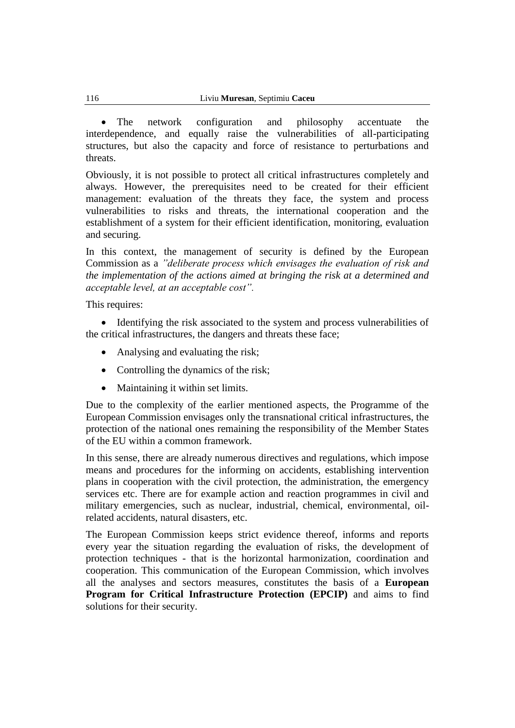The network configuration and philosophy accentuate the interdependence, and equally raise the vulnerabilities of all-participating structures, but also the capacity and force of resistance to perturbations and threats.

Obviously, it is not possible to protect all critical infrastructures completely and always. However, the prerequisites need to be created for their efficient management: evaluation of the threats they face, the system and process vulnerabilities to risks and threats, the international cooperation and the establishment of a system for their efficient identification, monitoring, evaluation and securing.

In this context, the management of security is defined by the European Commission as a *"deliberate process which envisages the evaluation of risk and the implementation of the actions aimed at bringing the risk at a determined and acceptable level, at an acceptable cost".*

This requires:

 Identifying the risk associated to the system and process vulnerabilities of the critical infrastructures, the dangers and threats these face;

- Analysing and evaluating the risk;
- Controlling the dynamics of the risk;
- Maintaining it within set limits.

Due to the complexity of the earlier mentioned aspects, the Programme of the European Commission envisages only the transnational critical infrastructures, the protection of the national ones remaining the responsibility of the Member States of the EU within a common framework.

In this sense, there are already numerous directives and regulations, which impose means and procedures for the informing on accidents, establishing intervention plans in cooperation with the civil protection, the administration, the emergency services etc. There are for example action and reaction programmes in civil and military emergencies, such as nuclear, industrial, chemical, environmental, oilrelated accidents, natural disasters, etc.

The European Commission keeps strict evidence thereof, informs and reports every year the situation regarding the evaluation of risks, the development of protection techniques - that is the horizontal harmonization, coordination and cooperation. This communication of the European Commission, which involves all the analyses and sectors measures, constitutes the basis of a **European Program for Critical Infrastructure Protection (EPCIP)** and aims to find solutions for their security.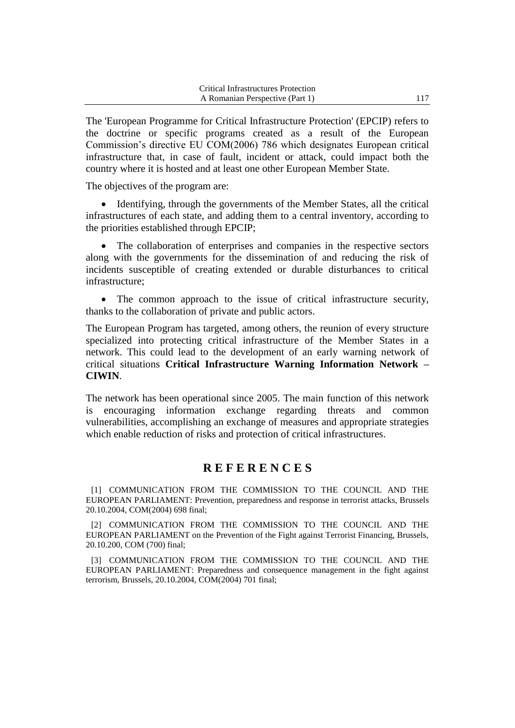| <b>Critical Infrastructures Protection</b> |  |
|--------------------------------------------|--|
| A Romanian Perspective (Part 1)            |  |

The 'European Programme for Critical Infrastructure Protection' (EPCIP) refers to the doctrine or specific programs created as a result of the European Commission's directive EU COM(2006) 786 which designates European critical infrastructure that, in case of fault, incident or attack, could impact both the country where it is hosted and at least one other European Member State.

The objectives of the program are:

• Identifying, through the governments of the Member States, all the critical infrastructures of each state, and adding them to a central inventory, according to the priorities established through EPCIP;

 The collaboration of enterprises and companies in the respective sectors along with the governments for the dissemination of and reducing the risk of incidents susceptible of creating extended or durable disturbances to critical infrastructure;

 The common approach to the issue of critical infrastructure security, thanks to the collaboration of private and public actors.

The European Program has targeted, among others, the reunion of every structure specialized into protecting critical infrastructure of the Member States in a network. This could lead to the development of an early warning network of critical situations **Critical Infrastructure Warning Information Network – CIWIN**.

The network has been operational since 2005. The main function of this network is encouraging information exchange regarding threats and common vulnerabilities, accomplishing an exchange of measures and appropriate strategies which enable reduction of risks and protection of critical infrastructures.

## **R E F E R E N C E S**

[1] COMMUNICATION FROM THE COMMISSION TO THE COUNCIL AND THE EUROPEAN PARLIAMENT: Prevention, preparedness and response in terrorist attacks, Brussels 20.10.2004, COM(2004) 698 final;

[2] COMMUNICATION FROM THE COMMISSION TO THE COUNCIL AND THE EUROPEAN PARLIAMENT on the Prevention of the Fight against Terrorist Financing, Brussels, 20.10.200, COM (700) final;

[3] COMMUNICATION FROM THE COMMISSION TO THE COUNCIL AND THE EUROPEAN PARLIAMENT: Preparedness and consequence management in the fight against terrorism, Brussels, 20.10.2004, COM(2004) 701 final;